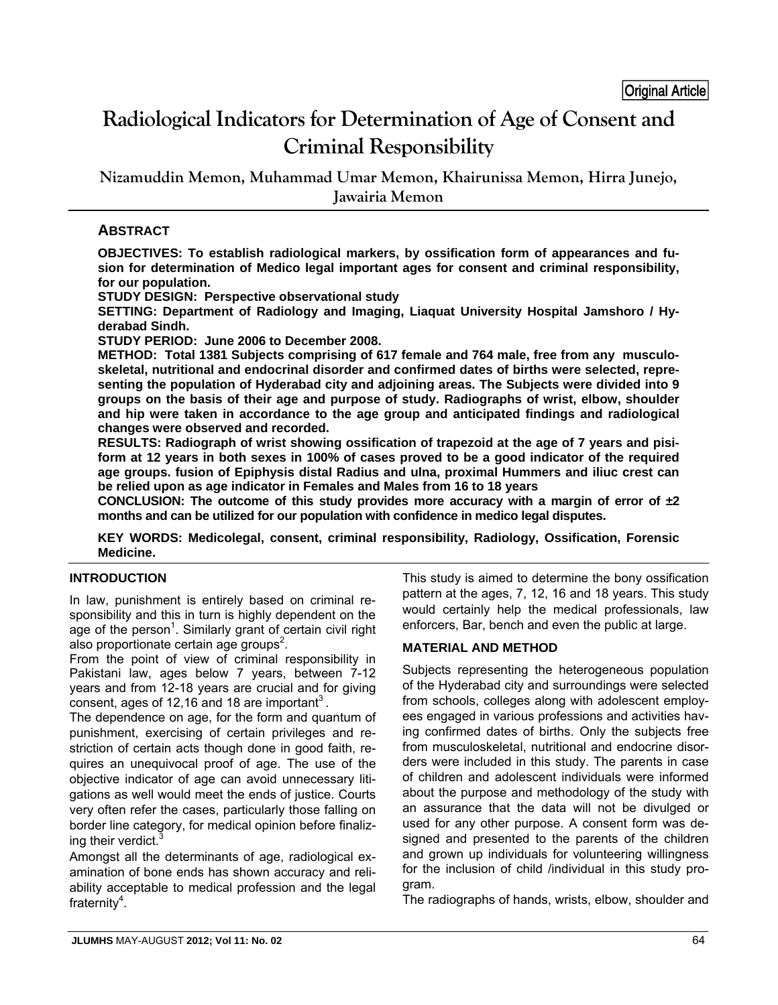**Nizamuddin Memon, Muhammad Umar Memon, Khairunissa Memon, Hirra Junejo, Jawairia Memon** 

# **ABSTRACT**

**OBJECTIVES: To establish radiological markers, by ossification form of appearances and fusion for determination of Medico legal important ages for consent and criminal responsibility, for our population.** 

**STUDY DESIGN: Perspective observational study** 

**SETTING: Department of Radiology and Imaging, Liaquat University Hospital Jamshoro / Hyderabad Sindh.** 

**STUDY PERIOD: June 2006 to December 2008.** 

**METHOD: Total 1381 Subjects comprising of 617 female and 764 male, free from any musculoskeletal, nutritional and endocrinal disorder and confirmed dates of births were selected, representing the population of Hyderabad city and adjoining areas. The Subjects were divided into 9 groups on the basis of their age and purpose of study. Radiographs of wrist, elbow, shoulder and hip were taken in accordance to the age group and anticipated findings and radiological changes were observed and recorded.** 

**RESULTS: Radiograph of wrist showing ossification of trapezoid at the age of 7 years and pisiform at 12 years in both sexes in 100% of cases proved to be a good indicator of the required age groups. fusion of Epiphysis distal Radius and ulna, proximal Hummers and iliuc crest can be relied upon as age indicator in Females and Males from 16 to 18 years** 

**CONCLUSION: The outcome of this study provides more accuracy with a margin of error of ±2 months and can be utilized for our population with confidence in medico legal disputes.** 

**KEY WORDS: Medicolegal, consent, criminal responsibility, Radiology, Ossification, Forensic Medicine.** 

## **INTRODUCTION**

In law, punishment is entirely based on criminal responsibility and this in turn is highly dependent on the age of the person<sup>1</sup>. Similarly grant of certain civil right also proportionate certain age groups<sup>2</sup>.

From the point of view of criminal responsibility in Pakistani law, ages below 7 years, between 7-12 years and from 12-18 years are crucial and for giving consent, ages of 12,16 and 18 are important<sup>3</sup>.

The dependence on age, for the form and quantum of punishment, exercising of certain privileges and restriction of certain acts though done in good faith, requires an unequivocal proof of age. The use of the objective indicator of age can avoid unnecessary litigations as well would meet the ends of justice. Courts very often refer the cases, particularly those falling on border line category, for medical opinion before finalizing their verdict.<sup>3</sup>

Amongst all the determinants of age, radiological examination of bone ends has shown accuracy and reliability acceptable to medical profession and the legal fraternity<sup>4</sup>.

This study is aimed to determine the bony ossification pattern at the ages, 7, 12, 16 and 18 years. This study would certainly help the medical professionals, law enforcers, Bar, bench and even the public at large.

## **MATERIAL AND METHOD**

Subjects representing the heterogeneous population of the Hyderabad city and surroundings were selected from schools, colleges along with adolescent employees engaged in various professions and activities having confirmed dates of births. Only the subjects free from musculoskeletal, nutritional and endocrine disorders were included in this study. The parents in case of children and adolescent individuals were informed about the purpose and methodology of the study with an assurance that the data will not be divulged or used for any other purpose. A consent form was designed and presented to the parents of the children and grown up individuals for volunteering willingness for the inclusion of child /individual in this study program.

The radiographs of hands, wrists, elbow, shoulder and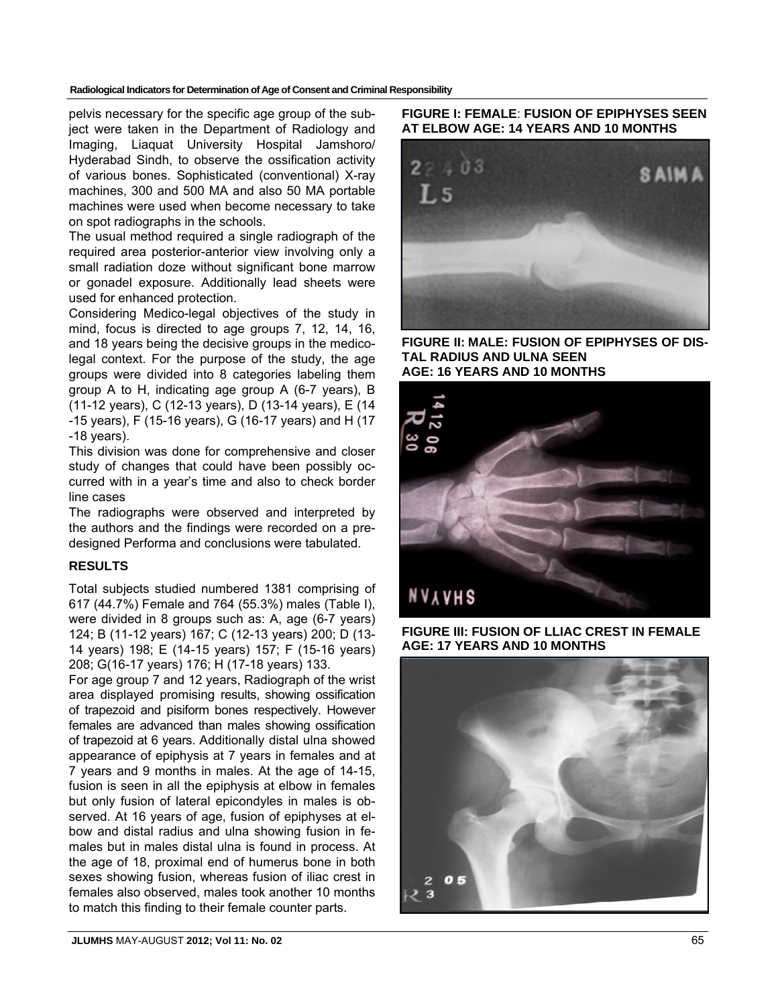pelvis necessary for the specific age group of the subject were taken in the Department of Radiology and Imaging, Liaquat University Hospital Jamshoro/ Hyderabad Sindh, to observe the ossification activity of various bones. Sophisticated (conventional) X-ray machines, 300 and 500 MA and also 50 MA portable machines were used when become necessary to take on spot radiographs in the schools.

The usual method required a single radiograph of the required area posterior-anterior view involving only a small radiation doze without significant bone marrow or gonadel exposure. Additionally lead sheets were used for enhanced protection.

Considering Medico-legal objectives of the study in mind, focus is directed to age groups 7, 12, 14, 16, and 18 years being the decisive groups in the medicolegal context. For the purpose of the study, the age groups were divided into 8 categories labeling them group A to H, indicating age group A (6-7 years), B (11-12 years), C (12-13 years), D (13-14 years), E (14 -15 years), F (15-16 years), G (16-17 years) and H (17 -18 years).

This division was done for comprehensive and closer study of changes that could have been possibly occurred with in a year's time and also to check border line cases

The radiographs were observed and interpreted by the authors and the findings were recorded on a predesigned Performa and conclusions were tabulated.

## **RESULTS**

Total subjects studied numbered 1381 comprising of 617 (44.7%) Female and 764 (55.3%) males (Table I), were divided in 8 groups such as: A, age (6-7 years) 124; B (11-12 years) 167; C (12-13 years) 200; D (13- 14 years) 198; E (14-15 years) 157; F (15-16 years) 208; G(16-17 years) 176; H (17-18 years) 133.

For age group 7 and 12 years, Radiograph of the wrist area displayed promising results, showing ossification of trapezoid and pisiform bones respectively. However females are advanced than males showing ossification of trapezoid at 6 years. Additionally distal ulna showed appearance of epiphysis at 7 years in females and at 7 years and 9 months in males. At the age of 14-15, fusion is seen in all the epiphysis at elbow in females but only fusion of lateral epicondyles in males is observed. At 16 years of age, fusion of epiphyses at elbow and distal radius and ulna showing fusion in females but in males distal ulna is found in process. At the age of 18, proximal end of humerus bone in both sexes showing fusion, whereas fusion of iliac crest in females also observed, males took another 10 months to match this finding to their female counter parts.

## **FIGURE I: FEMALE**: **FUSION OF EPIPHYSES SEEN AT ELBOW AGE: 14 YEARS AND 10 MONTHS**



**FIGURE II: MALE: FUSION OF EPIPHYSES OF DIS-TAL RADIUS AND ULNA SEEN AGE: 16 YEARS AND 10 MONTHS** 



**FIGURE III: FUSION OF LLIAC CREST IN FEMALE AGE: 17 YEARS AND 10 MONTHS**

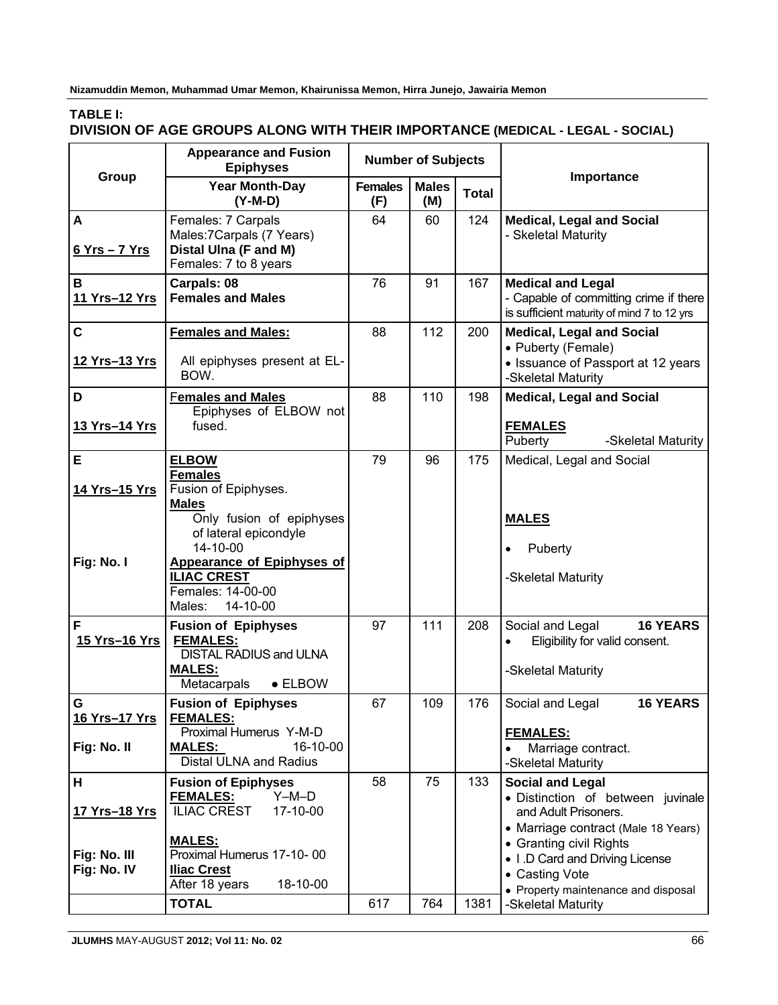# **TABLE I: DIVISION OF AGE GROUPS ALONG WITH THEIR IMPORTANCE (MEDICAL - LEGAL - SOCIAL)**

|                                                   | <b>Appearance and Fusion</b><br><b>Epiphyses</b>                                                                                                                                             | <b>Number of Subjects</b> |                     |              |                                                                                                                                                                                                                                                    |  |  |
|---------------------------------------------------|----------------------------------------------------------------------------------------------------------------------------------------------------------------------------------------------|---------------------------|---------------------|--------------|----------------------------------------------------------------------------------------------------------------------------------------------------------------------------------------------------------------------------------------------------|--|--|
| Group                                             | <b>Year Month-Day</b><br>$(Y-M-D)$                                                                                                                                                           | <b>Females</b><br>(F)     | <b>Males</b><br>(M) | <b>Total</b> | Importance                                                                                                                                                                                                                                         |  |  |
| A<br><u>6 Yrs – 7 Yrs</u>                         | Females: 7 Carpals<br>Males: 7 Carpals (7 Years)<br>Distal Ulna (F and M)<br>Females: 7 to 8 years                                                                                           | 64                        | 60                  | 124          | <b>Medical, Legal and Social</b><br>- Skeletal Maturity                                                                                                                                                                                            |  |  |
| В<br>11 Yrs-12 Yrs                                | Carpals: 08<br><b>Females and Males</b>                                                                                                                                                      | 76                        | 91                  | 167          | <b>Medical and Legal</b><br>- Capable of committing crime if there<br>is sufficient maturity of mind 7 to 12 yrs                                                                                                                                   |  |  |
| $\mathbf c$<br>12 Yrs-13 Yrs                      | <b>Females and Males:</b><br>All epiphyses present at EL-<br>BOW.                                                                                                                            | 88                        | 112                 | 200          | <b>Medical, Legal and Social</b><br>• Puberty (Female)<br>• Issuance of Passport at 12 years<br>-Skeletal Maturity                                                                                                                                 |  |  |
| D<br>13 Yrs-14 Yrs                                | <b>Females and Males</b><br>Epiphyses of ELBOW not<br>fused.                                                                                                                                 | 88                        | 110                 | 198          | <b>Medical, Legal and Social</b><br><b>FEMALES</b><br>Puberty<br>-Skeletal Maturity                                                                                                                                                                |  |  |
| E<br>14 Yrs-15 Yrs                                | <b>ELBOW</b><br><b>Females</b><br>Fusion of Epiphyses.<br><b>Males</b><br>Only fusion of epiphyses<br>of lateral epicondyle<br>14-10-00                                                      | 79                        | 96                  | 175          | Medical, Legal and Social<br><b>MALES</b><br>Puberty                                                                                                                                                                                               |  |  |
| Fig: No. I                                        | <b>Appearance of Epiphyses of</b><br><b>ILIAC CREST</b><br>Females: 14-00-00<br>14-10-00<br>Males:                                                                                           |                           |                     |              | -Skeletal Maturity                                                                                                                                                                                                                                 |  |  |
| F<br><u>15 Yrs-16 Yrs</u>                         | <b>Fusion of Epiphyses</b><br><b>FEMALES:</b><br>DISTAL RADIUS and ULNA<br><b>MALES:</b><br>Metacarpals<br>$\bullet$ ELBOW                                                                   | 97                        | 111                 | 208          | Social and Legal<br><b>16 YEARS</b><br>Eligibility for valid consent.<br>$\bullet$<br>-Skeletal Maturity                                                                                                                                           |  |  |
| G<br>16 Yrs-17 Yrs   FEMALES:<br>Fig: No. II      | <b>Fusion of Epiphyses</b><br>Proximal Humerus Y-M-D<br><b>MALES:</b><br>16-10-00<br>Distal ULNA and Radius                                                                                  | 67                        | 109                 | 176          | <b>16 YEARS</b><br>Social and Legal<br><b>FEMALES:</b><br>Marriage contract.<br>$\bullet$<br>-Skeletal Maturity                                                                                                                                    |  |  |
| н<br>17 Yrs-18 Yrs<br>Fig: No. III<br>Fig: No. IV | <b>Fusion of Epiphyses</b><br><b>FEMALES:</b><br>$Y-M-D$<br><b>ILIAC CREST</b><br>17-10-00<br><b>MALES:</b><br>Proximal Humerus 17-10-00<br><b>Iliac Crest</b><br>After 18 years<br>18-10-00 | 58                        | 75                  | 133          | <b>Social and Legal</b><br>· Distinction of between juvinale<br>and Adult Prisoners.<br>• Marriage contract (Male 18 Years)<br>• Granting civil Rights<br>• I .D Card and Driving License<br>• Casting Vote<br>• Property maintenance and disposal |  |  |
|                                                   | <b>TOTAL</b>                                                                                                                                                                                 | 617                       | 764                 | 1381         | -Skeletal Maturity                                                                                                                                                                                                                                 |  |  |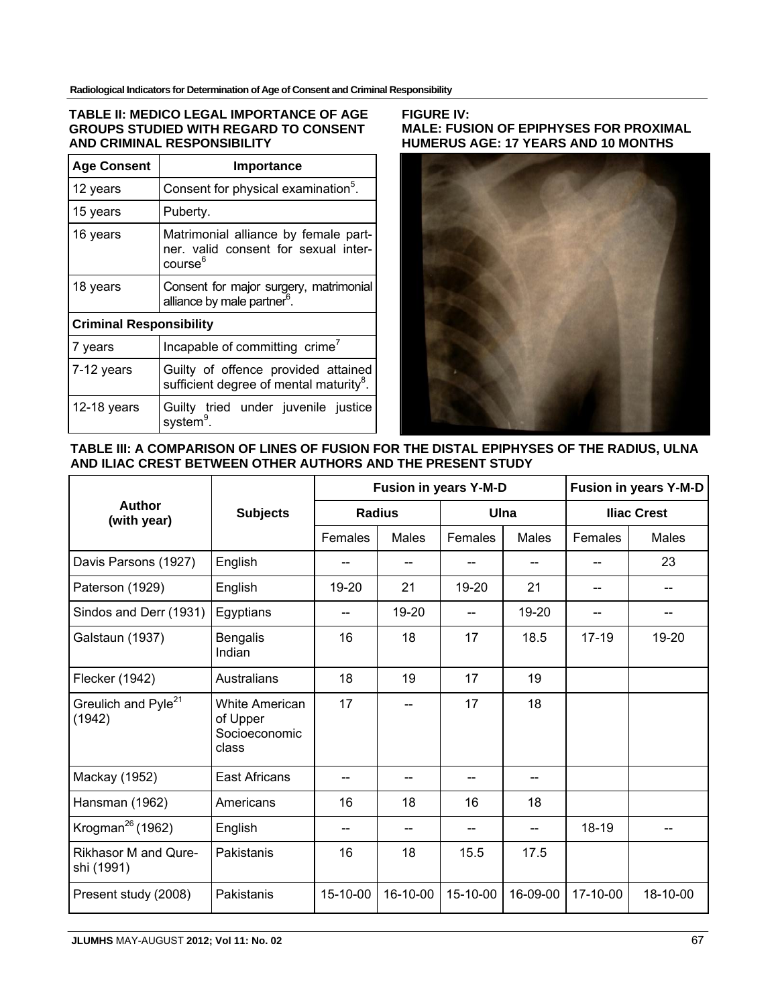## **TABLE II: MEDICO LEGAL IMPORTANCE OF AGE GROUPS STUDIED WITH REGARD TO CONSENT AND CRIMINAL RESPONSIBILITY**

| <b>Age Consent</b>                                                                                       | Importance                                                                                          |  |  |  |  |  |
|----------------------------------------------------------------------------------------------------------|-----------------------------------------------------------------------------------------------------|--|--|--|--|--|
| 12 years                                                                                                 | Consent for physical examination <sup>5</sup> .                                                     |  |  |  |  |  |
| 15 years                                                                                                 | Puberty.                                                                                            |  |  |  |  |  |
| 16 years                                                                                                 | Matrimonial alliance by female part-<br>ner, valid consent for sexual inter-<br>course <sup>6</sup> |  |  |  |  |  |
| 18 years                                                                                                 | Consent for major surgery, matrimonial<br>alliance by male partner <sup>6</sup> .                   |  |  |  |  |  |
| <b>Criminal Responsibility</b>                                                                           |                                                                                                     |  |  |  |  |  |
| 7 years                                                                                                  | Incapable of committing crime <sup>7</sup>                                                          |  |  |  |  |  |
| Guilty of offence provided attained<br>7-12 years<br>sufficient degree of mental maturity <sup>8</sup> . |                                                                                                     |  |  |  |  |  |
| 12-18 years                                                                                              | Guilty tried under juvenile justice<br>system <sup>9</sup> .                                        |  |  |  |  |  |

## **FIGURE IV: MALE: FUSION OF EPIPHYSES FOR PROXIMAL HUMERUS AGE: 17 YEARS AND 10 MONTHS**



**TABLE III: A COMPARISON OF LINES OF FUSION FOR THE DISTAL EPIPHYSES OF THE RADIUS, ULNA AND ILIAC CREST BETWEEN OTHER AUTHORS AND THE PRESENT STUDY**

|                                           | <b>Subjects</b>                                      | Fusion in years Y-M-D |              |          |              | Fusion in years Y-M-D |              |
|-------------------------------------------|------------------------------------------------------|-----------------------|--------------|----------|--------------|-----------------------|--------------|
| <b>Author</b><br>(with year)              |                                                      | <b>Radius</b>         |              | Ulna     |              | <b>Iliac Crest</b>    |              |
|                                           |                                                      | Females               | <b>Males</b> | Females  | <b>Males</b> | Females               | <b>Males</b> |
| Davis Parsons (1927)                      | English                                              | --                    |              |          | --           | --                    | 23           |
| Paterson (1929)                           | English                                              | 19-20                 | 21           | 19-20    | 21           |                       |              |
| Sindos and Derr (1931)                    | Egyptians                                            | --                    | 19-20        |          | 19-20        |                       |              |
| Galstaun (1937)                           | <b>Bengalis</b><br>Indian                            | 16                    | 18           | 17       | 18.5         | $17 - 19$             | 19-20        |
| Flecker (1942)                            | Australians                                          | 18                    | 19           | 17       | 19           |                       |              |
| Greulich and Pyle <sup>21</sup><br>(1942) | White American<br>of Upper<br>Socioeconomic<br>class | 17                    | $-$          | 17       | 18           |                       |              |
| Mackay (1952)                             | <b>East Africans</b>                                 |                       |              |          |              |                       |              |
| Hansman (1962)                            | Americans                                            | 16                    | 18           | 16       | 18           |                       |              |
| Krogman <sup>26</sup> (1962)              | English                                              | --                    |              | --       | $-$          | 18-19                 |              |
| <b>Rikhasor M and Qure-</b><br>shi (1991) | Pakistanis                                           | 16                    | 18           | 15.5     | 17.5         |                       |              |
| Present study (2008)                      | Pakistanis                                           | 15-10-00              | 16-10-00     | 15-10-00 | 16-09-00     | 17-10-00              | 18-10-00     |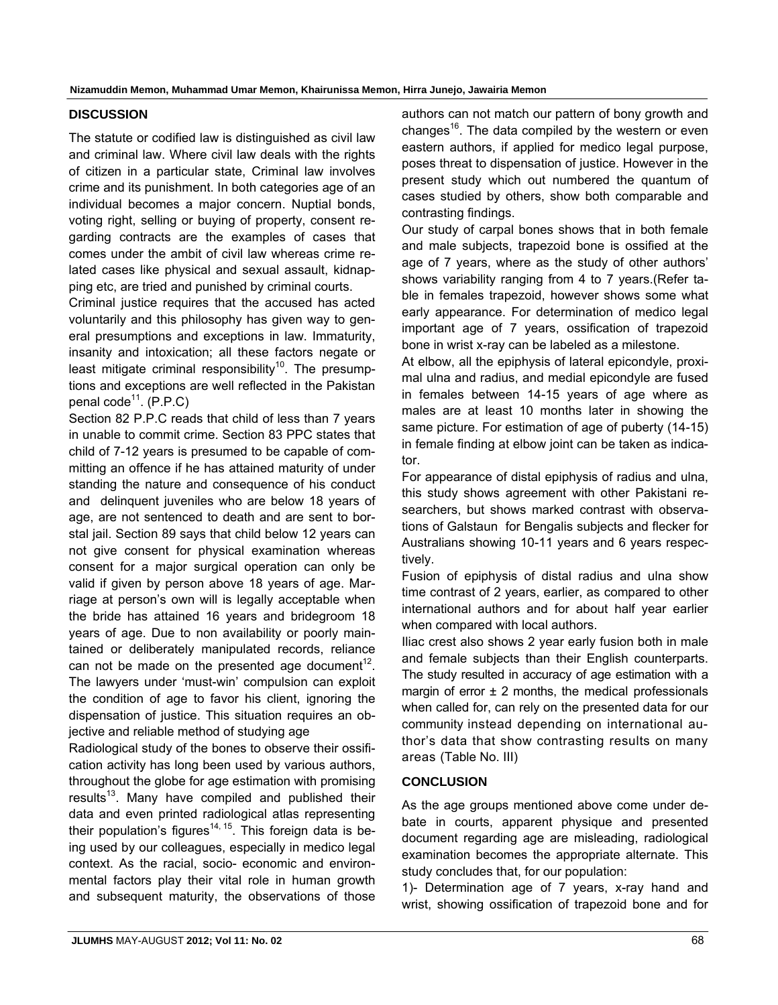## **DISCUSSION**

The statute or codified law is distinguished as civil law and criminal law. Where civil law deals with the rights of citizen in a particular state, Criminal law involves crime and its punishment. In both categories age of an individual becomes a major concern. Nuptial bonds, voting right, selling or buying of property, consent regarding contracts are the examples of cases that comes under the ambit of civil law whereas crime related cases like physical and sexual assault, kidnapping etc, are tried and punished by criminal courts.

Criminal justice requires that the accused has acted voluntarily and this philosophy has given way to general presumptions and exceptions in law. Immaturity, insanity and intoxication; all these factors negate or least mitigate criminal responsibility<sup>10</sup>. The presumptions and exceptions are well reflected in the Pakistan penal  $code^{11}$ . (P.P.C)

Section 82 P.P.C reads that child of less than 7 years in unable to commit crime. Section 83 PPC states that child of 7-12 years is presumed to be capable of committing an offence if he has attained maturity of under standing the nature and consequence of his conduct and delinquent juveniles who are below 18 years of age, are not sentenced to death and are sent to borstal jail. Section 89 says that child below 12 years can not give consent for physical examination whereas consent for a major surgical operation can only be valid if given by person above 18 years of age. Marriage at person's own will is legally acceptable when the bride has attained 16 years and bridegroom 18 years of age. Due to non availability or poorly maintained or deliberately manipulated records, reliance can not be made on the presented age document<sup>12</sup>. The lawyers under 'must-win' compulsion can exploit the condition of age to favor his client, ignoring the dispensation of justice. This situation requires an objective and reliable method of studying age

Radiological study of the bones to observe their ossification activity has long been used by various authors, throughout the globe for age estimation with promising results<sup>13</sup>. Many have compiled and published their data and even printed radiological atlas representing their population's figures<sup>14, 15</sup>. This foreign data is being used by our colleagues, especially in medico legal context. As the racial, socio- economic and environmental factors play their vital role in human growth and subsequent maturity, the observations of those

authors can not match our pattern of bony growth and changes<sup>16</sup>. The data compiled by the western or even eastern authors, if applied for medico legal purpose, poses threat to dispensation of justice. However in the present study which out numbered the quantum of cases studied by others, show both comparable and contrasting findings.

Our study of carpal bones shows that in both female and male subjects, trapezoid bone is ossified at the age of 7 years, where as the study of other authors' shows variability ranging from 4 to 7 years.(Refer table in females trapezoid, however shows some what early appearance. For determination of medico legal important age of 7 years, ossification of trapezoid bone in wrist x-ray can be labeled as a milestone.

At elbow, all the epiphysis of lateral epicondyle, proximal ulna and radius, and medial epicondyle are fused in females between 14-15 years of age where as males are at least 10 months later in showing the same picture. For estimation of age of puberty (14-15) in female finding at elbow joint can be taken as indicator.

For appearance of distal epiphysis of radius and ulna, this study shows agreement with other Pakistani researchers, but shows marked contrast with observations of Galstaun for Bengalis subjects and flecker for Australians showing 10-11 years and 6 years respectively.

Fusion of epiphysis of distal radius and ulna show time contrast of 2 years, earlier, as compared to other international authors and for about half year earlier when compared with local authors.

Iliac crest also shows 2 year early fusion both in male and female subjects than their English counterparts. The study resulted in accuracy of age estimation with a margin of error  $\pm$  2 months, the medical professionals when called for, can rely on the presented data for our community instead depending on international author's data that show contrasting results on many areas (Table No. III)

## **CONCLUSION**

As the age groups mentioned above come under debate in courts, apparent physique and presented document regarding age are misleading, radiological examination becomes the appropriate alternate. This study concludes that, for our population:

1)- Determination age of 7 years, x-ray hand and wrist, showing ossification of trapezoid bone and for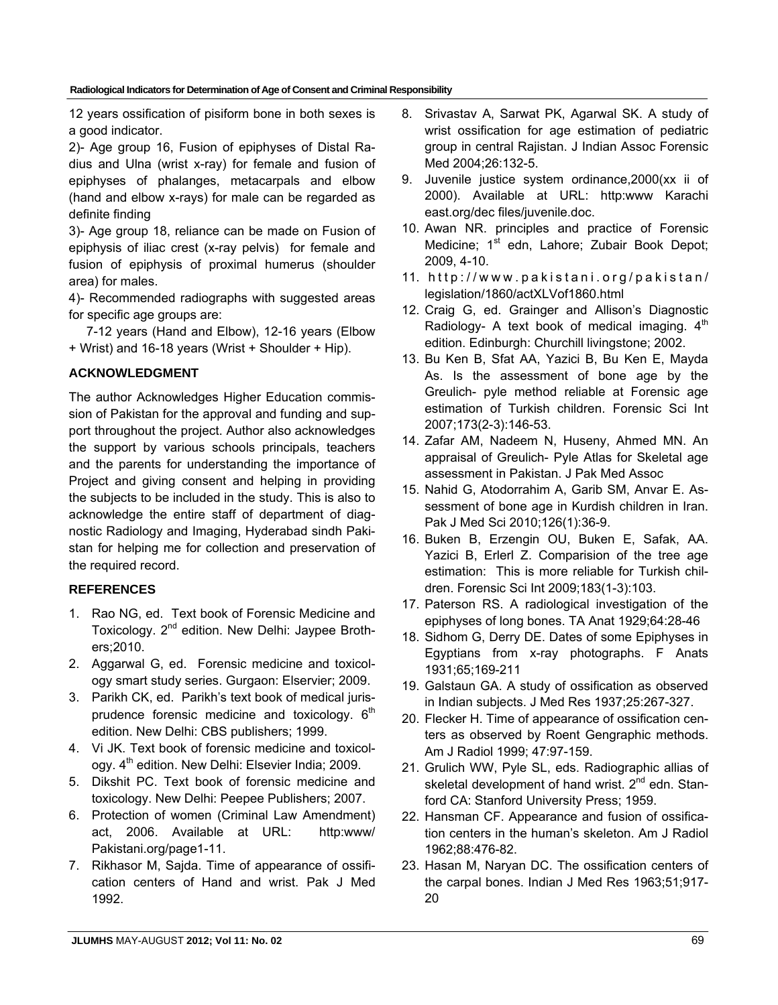12 years ossification of pisiform bone in both sexes is a good indicator.

2)- Age group 16, Fusion of epiphyses of Distal Radius and Ulna (wrist x-ray) for female and fusion of epiphyses of phalanges, metacarpals and elbow (hand and elbow x-rays) for male can be regarded as definite finding

3)- Age group 18, reliance can be made on Fusion of epiphysis of iliac crest (x-ray pelvis) for female and fusion of epiphysis of proximal humerus (shoulder area) for males.

4)- Recommended radiographs with suggested areas for specific age groups are:

 7-12 years (Hand and Elbow), 12-16 years (Elbow + Wrist) and 16-18 years (Wrist + Shoulder + Hip).

# **ACKNOWLEDGMENT**

The author Acknowledges Higher Education commission of Pakistan for the approval and funding and support throughout the project. Author also acknowledges the support by various schools principals, teachers and the parents for understanding the importance of Project and giving consent and helping in providing the subjects to be included in the study. This is also to acknowledge the entire staff of department of diagnostic Radiology and Imaging, Hyderabad sindh Pakistan for helping me for collection and preservation of the required record.

## **REFERENCES**

- 1. Rao NG, ed. Text book of Forensic Medicine and Toxicology. 2<sup>nd</sup> edition. New Delhi: Jaypee Brothers;2010.
- 2. Aggarwal G, ed. Forensic medicine and toxicology smart study series. Gurgaon: Elservier; 2009.
- 3. Parikh CK, ed. Parikh's text book of medical jurisprudence forensic medicine and toxicology.  $6<sup>th</sup>$ edition. New Delhi: CBS publishers; 1999.
- 4. Vi JK. Text book of forensic medicine and toxicology. 4<sup>th</sup> edition. New Delhi: Elsevier India; 2009.
- 5. Dikshit PC. Text book of forensic medicine and toxicology. New Delhi: Peepee Publishers; 2007.
- 6. Protection of women (Criminal Law Amendment) act, 2006. Available at URL: http:www/ Pakistani.org/page1-11.
- 7. Rikhasor M, Sajda. Time of appearance of ossification centers of Hand and wrist. Pak J Med 1992.
- 8. Srivastav A, Sarwat PK, Agarwal SK. A study of wrist ossification for age estimation of pediatric group in central Rajistan. J Indian Assoc Forensic Med 2004;26:132-5.
- 9. Juvenile justice system ordinance,2000(xx ii of 2000). Available at URL: http:www Karachi east.org/dec files/juvenile.doc.
- 10. Awan NR. principles and practice of Forensic Medicine; 1<sup>st</sup> edn, Lahore; Zubair Book Depot; 2009, 4-10.
- 11. http://www.pakistani.org/pakistan/ legislation/1860/actXLVof1860.html
- 12. Craig G, ed. Grainger and Allison's Diagnostic Radiology- A text book of medical imaging.  $4<sup>th</sup>$ edition. Edinburgh: Churchill livingstone; 2002.
- 13. Bu Ken B, Sfat AA, Yazici B, Bu Ken E, Mayda As. Is the assessment of bone age by the Greulich- pyle method reliable at Forensic age estimation of Turkish children. Forensic Sci Int 2007;173(2-3):146-53.
- 14. Zafar AM, Nadeem N, Huseny, Ahmed MN. An appraisal of Greulich- Pyle Atlas for Skeletal age assessment in Pakistan. J Pak Med Assoc
- 15. Nahid G, Atodorrahim A, Garib SM, Anvar E. Assessment of bone age in Kurdish children in Iran. Pak J Med Sci 2010;126(1):36-9.
- 16. Buken B, Erzengin OU, Buken E, Safak, AA. Yazici B, Erlerl Z. Comparision of the tree age estimation: This is more reliable for Turkish children. Forensic Sci Int 2009;183(1-3):103.
- 17. Paterson RS. A radiological investigation of the epiphyses of long bones. TA Anat 1929;64:28-46
- 18. Sidhom G, Derry DE. Dates of some Epiphyses in Egyptians from x-ray photographs. F Anats 1931;65;169-211
- 19. Galstaun GA. A study of ossification as observed in Indian subjects. J Med Res 1937;25:267-327.
- 20. Flecker H. Time of appearance of ossification centers as observed by Roent Gengraphic methods. Am J Radiol 1999; 47:97-159.
- 21. Grulich WW, Pyle SL, eds. Radiographic allias of skeletal development of hand wrist. 2<sup>nd</sup> edn. Stanford CA: Stanford University Press; 1959.
- 22. Hansman CF. Appearance and fusion of ossification centers in the human's skeleton. Am J Radiol 1962;88:476-82.
- 23. Hasan M, Naryan DC. The ossification centers of the carpal bones. Indian J Med Res 1963;51;917- 20